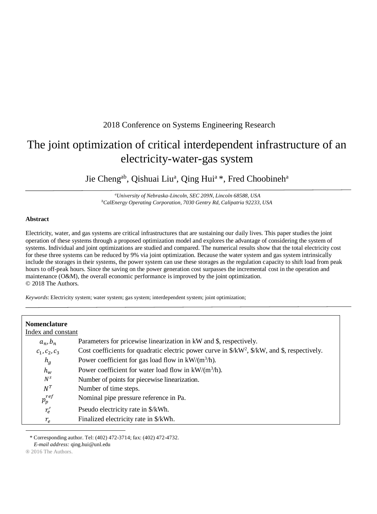## 2018 Conference on Systems Engineering Research

# The joint optimization of critical interdependent infrastructure of an electricity-water-gas system

Jie Cheng<sup>ab</sup>, Qishuai Liu<sup>a</sup>, Qing Hui<sup>a</sup>\*, Fred Choobineh<sup>a</sup>

*<sup>a</sup>University of Nebraska-Lincoln, SEC 209N, Lincoln 68588, USA <sup>b</sup>CalEnergy Operating Corporation, 7030 Gentry Rd, Calipatria 92233, USA*

## **Abstract**

Electricity, water, and gas systems are critical infrastructures that are sustaining our daily lives. This paper studies the joint operation of these systems through a proposed optimization model and explores the advantage of considering the system of systems. Individual and joint optimizations are studied and compared. The numerical results show that the total electricity cost for these three systems can be reduced by 9% via joint optimization. Because the water system and gas system intrinsically include the storages in their systems, the power system can use these storages as the regulation capacity to shift load from peak hours to off-peak hours. Since the saving on the power generation cost surpasses the incremental cost in the operation and maintenance (O&M), the overall economic performance is improved by the joint optimization. © 2018 The Authors.

*Keywords*: Electricity system; water system; gas system; interdependent system; joint optimization;

| <b>Nomenclature</b> |                                                                                                                                             |
|---------------------|---------------------------------------------------------------------------------------------------------------------------------------------|
| Index and constant  |                                                                                                                                             |
| $a_n$ , $b_n$       | Parameters for pricewise linearization in kW and \$, respectively.                                                                          |
| $c_1, c_2, c_3$     | Cost coefficients for quadratic electric power curve in $\frac{C}{2}$ , $\frac{C}{2}$ , $\frac{C}{2}$ , $\frac{C}{2}$ and \$, respectively. |
| $h_g$               | Power coefficient for gas load flow in $kW/(m^3/h)$ .                                                                                       |
| $h_w$               | Power coefficient for water load flow in $kW/(m^3/h)$ .                                                                                     |
| $N^s$               | Number of points for piecewise linearization.                                                                                               |
| $N^T$               | Number of time steps.                                                                                                                       |
| $p_p^{ref}$         | Nominal pipe pressure reference in Pa.                                                                                                      |
| $r'_{e}$            | Pseudo electricity rate in \$/kWh.                                                                                                          |
| $r_e$               | Finalized electricity rate in \$/kWh.                                                                                                       |

\* Corresponding author. Tel: (402) 472-3714; fax: (402) 472-4732. *E-mail address:* qing.hui@unl.edu

l

<sup>® 2016</sup> The Authors.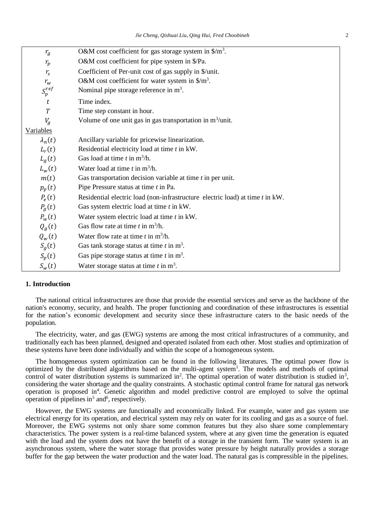| $r_{\rm g}$        | O&M cost coefficient for gas storage system in $\gamma m^3$ .                 |  |  |  |
|--------------------|-------------------------------------------------------------------------------|--|--|--|
| $r_p$              | O&M cost coefficient for pipe system in \$/Pa.                                |  |  |  |
| $r_{\rm s}$        | Coefficient of Per-unit cost of gas supply in \$/unit.                        |  |  |  |
| $r_{w}$            | O&M cost coefficient for water system in $\gamma m^3$ .                       |  |  |  |
| $S_p^{ref}$        | Nominal pipe storage reference in $m3$ .                                      |  |  |  |
| t                  | Time index.                                                                   |  |  |  |
| $\boldsymbol{T}$   | Time step constant in hour.                                                   |  |  |  |
| $V_g$              | Volume of one unit gas in gas transportation in $m^3$ /unit.                  |  |  |  |
| <b>Variables</b>   |                                                                               |  |  |  |
| $\lambda_n(t)$     | Ancillary variable for pricewise linearization.                               |  |  |  |
| $L_r(t)$           | Residential electricity load at time t in kW.                                 |  |  |  |
| $L_q(t)$           | Gas load at time $t$ in $m^3/h$ .                                             |  |  |  |
| $L_w(t)$           | Water load at time $t$ in $m^3/h$ .                                           |  |  |  |
| m(t)               | Gas transportation decision variable at time $t$ in per unit.                 |  |  |  |
| $p_p(t)$           | Pipe Pressure status at time t in Pa.                                         |  |  |  |
| $P_e(t)$           | Residential electric load (non-infrastructure electric load) at time t in kW. |  |  |  |
| P <sub>g</sub> (t) | Gas system electric load at time t in kW.                                     |  |  |  |
| $P_w(t)$           | Water system electric load at time t in kW.                                   |  |  |  |
| $Q_g(t)$           | Gas flow rate at time $t$ in $m^3/h$ .                                        |  |  |  |
| $Q_w(t)$           | Water flow rate at time t in $m^3/h$ .                                        |  |  |  |
| $S_g(t)$           | Gas tank storage status at time $t$ in $m^3$ .                                |  |  |  |
| $S_p(t)$           | Gas pipe storage status at time $t$ in $m3$ .                                 |  |  |  |
| $S_w(t)$           | Water storage status at time $t$ in $m3$ .                                    |  |  |  |

## **1. Introduction**

The national critical infrastructures are those that provide the essential services and serve as the backbone of the nation's economy, security, and health. The proper functioning and coordination of these infrastructures is essential for the nation's economic development and security since these infrastructure caters to the basic needs of the population.

The electricity, water, and gas (EWG) systems are among the most critical infrastructures of a community, and traditionally each has been planned, designed and operated isolated from each other. Most studies and optimization of these systems have been done individually and within the scope of a homogeneous system.

The homogeneous system optimization can be found in the following literatures. The optimal power flow is optimized by the distributed algorithms based on the multi-agent system<sup>1</sup>. The models and methods of optimal control of water distribution systems is summarized in<sup>2</sup>. The optimal operation of water distribution is studied in<sup>3</sup>, considering the water shortage and the quality constraints. A stochastic optimal control frame for natural gas network operation is proposed in<sup>4</sup>. Genetic algorithm and model predictive control are employed to solve the optimal operation of pipelines in<sup>5</sup> and<sup>6</sup>, respectively.

However, the EWG systems are functionally and economically linked. For example, water and gas system use electrical energy for its operation, and electrical system may rely on water for its cooling and gas as a source of fuel. Moreover, the EWG systems not only share some common features but they also share some complementary characteristics. The power system is a real-time balanced system, where at any given time the generation is equated with the load and the system does not have the benefit of a storage in the transient form. The water system is an asynchronous system, where the water storage that provides water pressure by height naturally provides a storage buffer for the gap between the water production and the water load. The natural gas is compressible in the pipelines.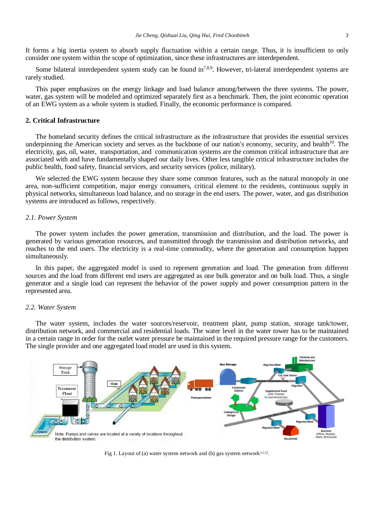It forms a big inertia system to absorb supply fluctuation within a certain range. Thus, it is insufficient to only consider one system within the scope of optimization, since these infrastructures are interdependent.

Some bilateral interdependent system study can be found  $\ln^{7,8,9}$ . However, tri-lateral interdependent systems are rarely studied.

This paper emphasizes on the energy linkage and load balance among/between the three systems. The power, water, gas system will be modeled and optimized separately first as a benchmark. Then, the joint economic operation of an EWG system as a whole system is studied. Finally, the economic performance is compared.

## **2. Critical Infrastructure**

The homeland security defines the critical infrastructure as the infrastructure that provides the essential services underpinning the American society and serves as the backbone of our nation's economy, security, and health<sup>10</sup>. The electricity, gas, oil, water, transportation, and communication systems are the common critical infrastructure that are associated with and have fundamentally shaped our daily lives. Other less tangible critical infrastructure includes the public health, food safety, financial services, and security services (police, military).

We selected the EWG system because they share some common features, such as the natural monopoly in one area, non-sufficient competition, major energy consumers, critical element to the residents, continuous supply in physical networks, simultaneous load balance, and no storage in the end users. The power, water, and gas distribution systems are introduced as follows, respectively.

## *2.1. Power System*

The power system includes the power generation, transmission and distribution, and the load. The power is generated by various generation resources, and transmitted through the transmission and distribution networks, and reaches to the end users. The electricity is a real-time commodity, where the generation and consumption happen simultaneously.

In this paper, the aggregated model is used to represent generation and load. The generation from different sources and the load from different end users are aggregated as one bulk generator and on bulk load. Thus, a single generator and a single load can represent the behavior of the power supply and power consumption pattern in the represented area.

## *2.2. Water System*

The water system, includes the water sources/reservoir, treatment plant, pump station, storage tank/tower, distribution network, and commercial and residential loads. The water level in the water tower has to be maintained in a certain range in order for the outlet water pressure be maintained in the required pressure range for the customers. The single provider and one aggregated load model are used in this system.



Fig 1. Layout of (a) water system network and (b) gas system network $11,12$ .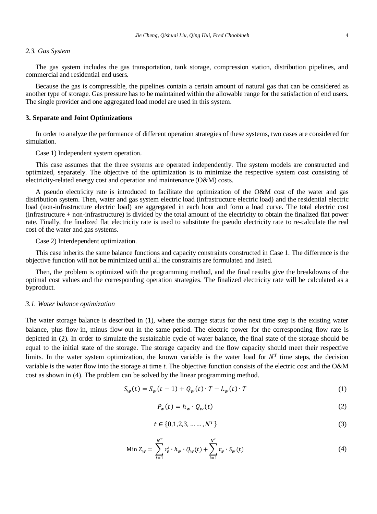#### *2.3. Gas System*

The gas system includes the gas transportation, tank storage, compression station, distribution pipelines, and commercial and residential end users.

Because the gas is compressible, the pipelines contain a certain amount of natural gas that can be considered as another type of storage. Gas pressure has to be maintained within the allowable range for the satisfaction of end users. The single provider and one aggregated load model are used in this system.

## **3. Separate and Joint Optimizations**

In order to analyze the performance of different operation strategies of these systems, two cases are considered for simulation.

Case 1) Independent system operation.

This case assumes that the three systems are operated independently. The system models are constructed and optimized, separately. The objective of the optimization is to minimize the respective system cost consisting of electricity-related energy cost and operation and maintenance (O&M) costs.

A pseudo electricity rate is introduced to facilitate the optimization of the O&M cost of the water and gas distribution system. Then, water and gas system electric load (infrastructure electric load) and the residential electric load (non-infrastructure electric load) are aggregated in each hour and form a load curve. The total electric cost (infrastructure + non-infrastructure) is divided by the total amount of the electricity to obtain the finalized flat power rate. Finally, the finalized flat electricity rate is used to substitute the pseudo electricity rate to re-calculate the real cost of the water and gas systems.

Case 2) Interdependent optimization.

This case inherits the same balance functions and capacity constraints constructed in Case 1. The difference is the objective function will not be minimized until all the constraints are formulated and listed.

Then, the problem is optimized with the programming method, and the final results give the breakdowns of the optimal cost values and the corresponding operation strategies. The finalized electricity rate will be calculated as a byproduct.

## *3.1. Water balance optimization*

The water storage balance is described in (1), where the storage status for the next time step is the existing water balance, plus flow-in, minus flow-out in the same period. The electric power for the corresponding flow rate is depicted in (2). In order to simulate the sustainable cycle of water balance, the final state of the storage should be equal to the initial state of the storage. The storage capacity and the flow capacity should meet their respective limits. In the water system optimization, the known variable is the water load for  $N<sup>T</sup>$  time steps, the decision variable is the water flow into the storage at time *t*. The objective function consists of the electric cost and the O&M cost as shown in (4). The problem can be solved by the linear programming method.

$$
S_w(t) = S_w(t-1) + Q_w(t) \cdot T - L_w(t) \cdot T \tag{1}
$$

$$
P_w(t) = h_w \cdot Q_w(t) \tag{2}
$$

$$
t \in \{0, 1, 2, 3, \dots, N^T\} \tag{3}
$$

Min 
$$
Z_w = \sum_{i=1}^{N^T} r'_e \cdot h_w \cdot Q_w(t) + \sum_{i=1}^{N^T} r_w \cdot S_w(t)
$$
 (4)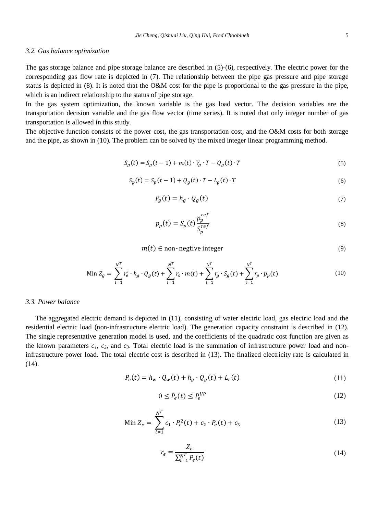#### *3.2. Gas balance optimization*

The gas storage balance and pipe storage balance are described in (5)-(6), respectively. The electric power for the corresponding gas flow rate is depicted in (7). The relationship between the pipe gas pressure and pipe storage status is depicted in (8). It is noted that the O&M cost for the pipe is proportional to the gas pressure in the pipe, which is an indirect relationship to the status of pipe storage.

In the gas system optimization, the known variable is the gas load vector. The decision variables are the transportation decision variable and the gas flow vector (time series). It is noted that only integer number of gas transportation is allowed in this study.

The objective function consists of the power cost, the gas transportation cost, and the O&M costs for both storage and the pipe, as shown in (10). The problem can be solved by the mixed integer linear programming method.

$$
S_g(t) = S_g(t-1) + m(t) \cdot V_g \cdot T - Q_g(t) \cdot T \tag{5}
$$

$$
S_p(t) = S_p(t-1) + Q_g(t) \cdot T - L_g(t) \cdot T \tag{6}
$$

$$
P_g(t) = h_g \cdot Q_g(t) \tag{7}
$$

$$
p_p(t) = S_p(t) \frac{p_p^{ref}}{S_p^{ref}}
$$
\n(8)

 $m(t) \in$  non-negtive integer (9)

Min 
$$
Z_g = \sum_{i=1}^{N^T} r'_e \cdot h_g \cdot Q_g(t) + \sum_{i=1}^{N^T} r_s \cdot m(t) + \sum_{i=1}^{N^T} r_g \cdot S_g(t) + \sum_{i=1}^{N^T} r_p \cdot p_p(t)
$$
 (10)

## *3.3. Power balance*

The aggregated electric demand is depicted in (11), consisting of water electric load, gas electric load and the residential electric load (non-infrastructure electric load). The generation capacity constraint is described in (12). The single representative generation model is used, and the coefficients of the quadratic cost function are given as the known parameters  $c_1$ ,  $c_2$ , and  $c_3$ . Total electric load is the summation of infrastructure power load and noninfrastructure power load. The total electric cost is described in (13). The finalized electricity rate is calculated in (14).

$$
P_e(t) = h_w \cdot Q_w(t) + h_g \cdot Q_g(t) + L_r(t)
$$
\n(11)

$$
0 \le P_e(t) \le P_e^{UP} \tag{12}
$$

Min 
$$
Z_e = \sum_{i=1}^{N^T} c_1 \cdot P_e^2(t) + c_2 \cdot P_e(t) + c_3
$$
 (13)

$$
r_e = \frac{Z_e}{\sum_{i=1}^{N^T} P_e(t)}\tag{14}
$$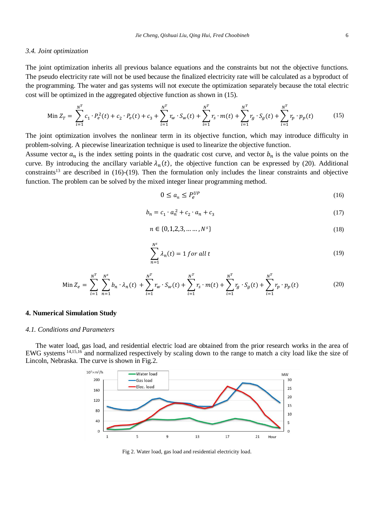#### *Jie Cheng, Qishuai Liu, Qing Hui, Fred Choobineh* 6

#### *3.4. Joint optimization*

The joint optimization inherits all previous balance equations and the constraints but not the objective functions. The pseudo electricity rate will not be used because the finalized electricity rate will be calculated as a byproduct of the programming. The water and gas systems will not execute the optimization separately because the total electric cost will be optimized in the aggregated objective function as shown in (15).

$$
\operatorname{Min} Z_T = \sum_{i=1}^{N^T} c_1 \cdot P_e^2(t) + c_2 \cdot P_e(t) + c_3 + \sum_{i=1}^{N^T} r_w \cdot S_w(t) + \sum_{i=1}^{N^T} r_s \cdot m(t) + \sum_{i=1}^{N^T} r_g \cdot S_g(t) + \sum_{i=1}^{N^T} r_p \cdot p_p(t) \tag{15}
$$

The joint optimization involves the nonlinear term in its objective function, which may introduce difficulty in problem-solving. A piecewise linearization technique is used to linearize the objective function.

Assume vector  $a_n$  is the index setting points in the quadratic cost curve, and vector  $b_n$  is the value points on the curve. By introducing the ancillary variable  $\lambda_n(t)$ , the objective function can be expressed by (20). Additional constraints<sup>13</sup> are described in  $(16)-(19)$ . Then the formulation only includes the linear constraints and objective function. The problem can be solved by the mixed integer linear programming method.

$$
0 \le a_n \le P_e^{UP} \tag{16}
$$

$$
b_n = c_1 \cdot a_n^2 + c_2 \cdot a_n + c_3 \tag{17}
$$

$$
n \in \{0, 1, 2, 3, \dots, N^s\} \tag{18}
$$

$$
\sum_{n=1}^{N^s} \lambda_n(t) = 1 \text{ for all } t \tag{19}
$$

$$
\operatorname{Min} Z_e = \sum_{i=1}^{N^T} \sum_{n=1}^{N^s} b_n \cdot \lambda_n(t) + \sum_{i=1}^{N^T} r_{w} \cdot S_{w}(t) + \sum_{i=1}^{N^T} r_{s} \cdot m(t) + \sum_{i=1}^{N^T} r_{g} \cdot S_{g}(t) + \sum_{i=1}^{N^T} r_{p} \cdot p_{p}(t) \tag{20}
$$

## **4. Numerical Simulation Study**

## *4.1. Conditions and Parameters*

The water load, gas load, and residential electric load are obtained from the prior research works in the area of EWG systems <sup>14,15,16</sup> and normalized respectively by scaling down to the range to match a city load like the size of Lincoln, Nebraska. The curve is shown in Fig.2.



Fig 2. Water load, gas load and residential electricity load.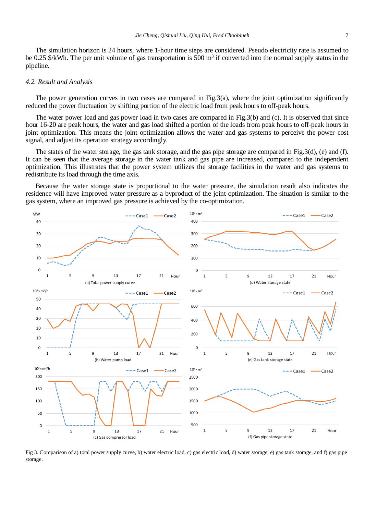The simulation horizon is 24 hours, where 1-hour time steps are considered. Pseudo electricity rate is assumed to be 0.25  $\frac{1}{2}$  KWh. The per unit volume of gas transportation is 500 m<sup>3</sup> if converted into the normal supply status in the pipeline.

#### *4.2. Result and Analysis*

The power generation curves in two cases are compared in Fig.3(a), where the joint optimization significantly reduced the power fluctuation by shifting portion of the electric load from peak hours to off-peak hours.

The water power load and gas power load in two cases are compared in Fig.3(b) and (c). It is observed that since hour 16-20 are peak hours, the water and gas load shifted a portion of the loads from peak hours to off-peak hours in joint optimization. This means the joint optimization allows the water and gas systems to perceive the power cost signal, and adjust its operation strategy accordingly.

The states of the water storage, the gas tank storage, and the gas pipe storage are compared in Fig.3(d), (e) and (f). It can be seen that the average storage in the water tank and gas pipe are increased, compared to the independent optimization. This illustrates that the power system utilizes the storage facilities in the water and gas systems to redistribute its load through the time axis.

Because the water storage state is proportional to the water pressure, the simulation result also indicates the residence will have improved water pressure as a byproduct of the joint optimization. The situation is similar to the gas system, where an improved gas pressure is achieved by the co-optimization.



Fig 3. Comparison of a) total power supply curve, b) water electric load, c) gas electric load, d) water storage, e) gas tank storage, and f) gas pipe storage.